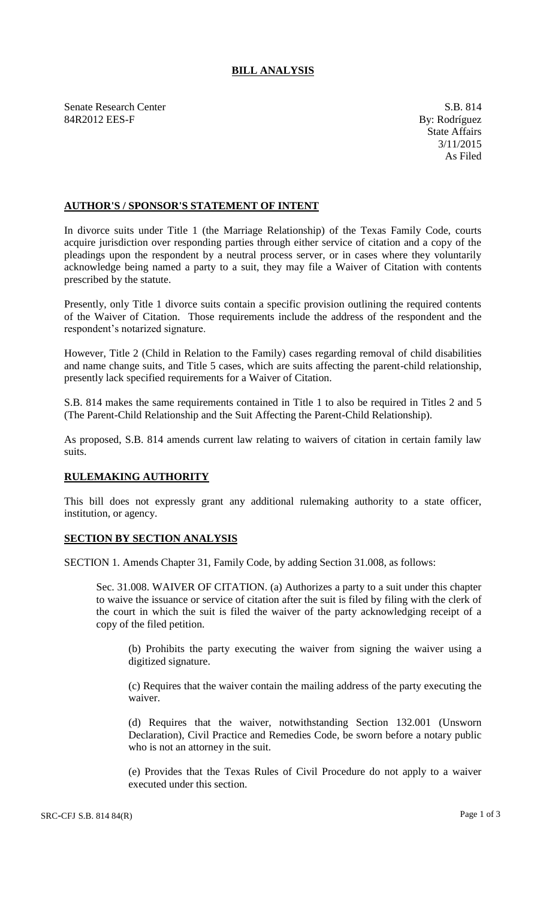## **BILL ANALYSIS**

Senate Research Center S.B. 814 84R2012 EES-F By: Rodríguez

## **AUTHOR'S / SPONSOR'S STATEMENT OF INTENT**

In divorce suits under Title 1 (the Marriage Relationship) of the Texas Family Code, courts acquire jurisdiction over responding parties through either service of citation and a copy of the pleadings upon the respondent by a neutral process server, or in cases where they voluntarily acknowledge being named a party to a suit, they may file a Waiver of Citation with contents prescribed by the statute.

Presently, only Title 1 divorce suits contain a specific provision outlining the required contents of the Waiver of Citation. Those requirements include the address of the respondent and the respondent's notarized signature.

However, Title 2 (Child in Relation to the Family) cases regarding removal of child disabilities and name change suits, and Title 5 cases, which are suits affecting the parent-child relationship, presently lack specified requirements for a Waiver of Citation.

S.B. 814 makes the same requirements contained in Title 1 to also be required in Titles 2 and 5 (The Parent-Child Relationship and the Suit Affecting the Parent-Child Relationship).

As proposed, S.B. 814 amends current law relating to waivers of citation in certain family law suits.

## **RULEMAKING AUTHORITY**

This bill does not expressly grant any additional rulemaking authority to a state officer, institution, or agency.

## **SECTION BY SECTION ANALYSIS**

SECTION 1. Amends Chapter 31, Family Code, by adding Section 31.008, as follows:

Sec. 31.008. WAIVER OF CITATION. (a) Authorizes a party to a suit under this chapter to waive the issuance or service of citation after the suit is filed by filing with the clerk of the court in which the suit is filed the waiver of the party acknowledging receipt of a copy of the filed petition.

(b) Prohibits the party executing the waiver from signing the waiver using a digitized signature.

(c) Requires that the waiver contain the mailing address of the party executing the waiver.

(d) Requires that the waiver, notwithstanding Section 132.001 (Unsworn Declaration), Civil Practice and Remedies Code, be sworn before a notary public who is not an attorney in the suit.

(e) Provides that the Texas Rules of Civil Procedure do not apply to a waiver executed under this section.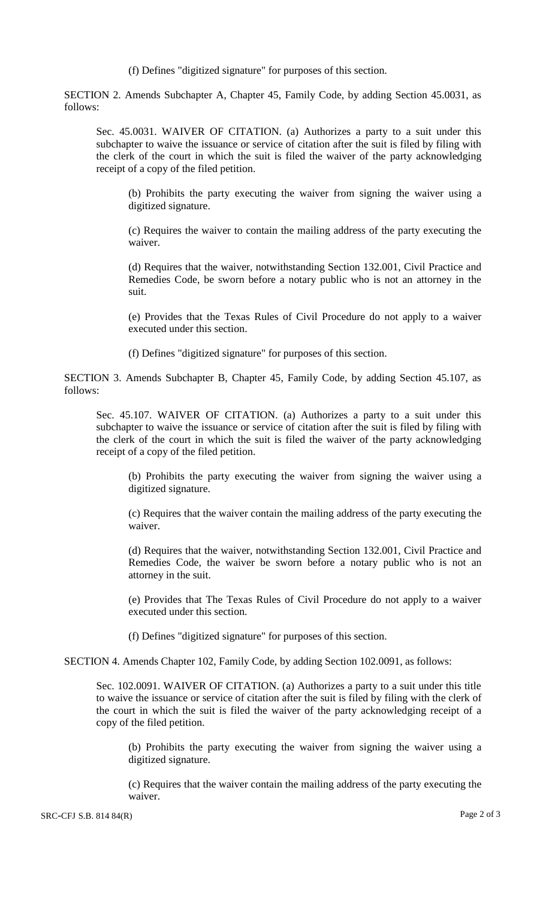(f) Defines "digitized signature" for purposes of this section.

SECTION 2. Amends Subchapter A, Chapter 45, Family Code, by adding Section 45.0031, as follows:

Sec. 45.0031. WAIVER OF CITATION. (a) Authorizes a party to a suit under this subchapter to waive the issuance or service of citation after the suit is filed by filing with the clerk of the court in which the suit is filed the waiver of the party acknowledging receipt of a copy of the filed petition.

(b) Prohibits the party executing the waiver from signing the waiver using a digitized signature.

(c) Requires the waiver to contain the mailing address of the party executing the waiver.

(d) Requires that the waiver, notwithstanding Section 132.001, Civil Practice and Remedies Code, be sworn before a notary public who is not an attorney in the suit.

(e) Provides that the Texas Rules of Civil Procedure do not apply to a waiver executed under this section.

(f) Defines "digitized signature" for purposes of this section.

SECTION 3. Amends Subchapter B, Chapter 45, Family Code, by adding Section 45.107, as follows:

Sec. 45.107. WAIVER OF CITATION. (a) Authorizes a party to a suit under this subchapter to waive the issuance or service of citation after the suit is filed by filing with the clerk of the court in which the suit is filed the waiver of the party acknowledging receipt of a copy of the filed petition.

(b) Prohibits the party executing the waiver from signing the waiver using a digitized signature.

(c) Requires that the waiver contain the mailing address of the party executing the waiver.

(d) Requires that the waiver, notwithstanding Section 132.001, Civil Practice and Remedies Code, the waiver be sworn before a notary public who is not an attorney in the suit.

(e) Provides that The Texas Rules of Civil Procedure do not apply to a waiver executed under this section.

(f) Defines "digitized signature" for purposes of this section.

SECTION 4. Amends Chapter 102, Family Code, by adding Section 102.0091, as follows:

Sec. 102.0091. WAIVER OF CITATION. (a) Authorizes a party to a suit under this title to waive the issuance or service of citation after the suit is filed by filing with the clerk of the court in which the suit is filed the waiver of the party acknowledging receipt of a copy of the filed petition.

(b) Prohibits the party executing the waiver from signing the waiver using a digitized signature.

(c) Requires that the waiver contain the mailing address of the party executing the waiver.